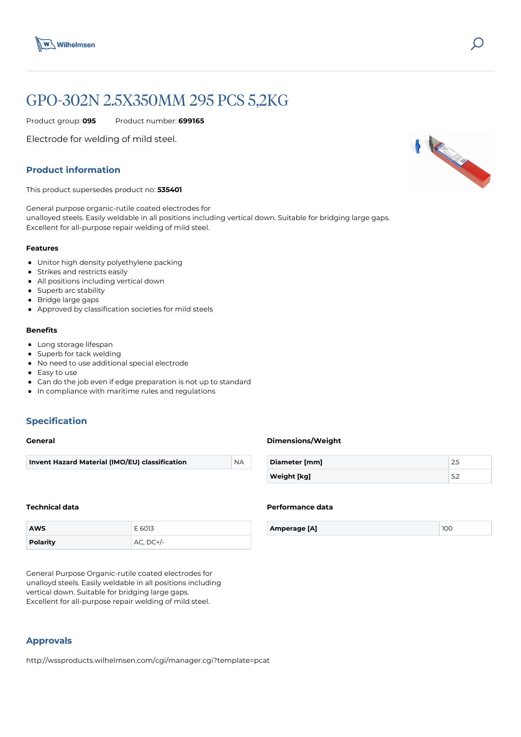

# GPO-302N 2.5X350MM 295 PCS 5,2KG

Product group: **095** Product number: **699165**

Electrode for welding of mild steel.

# **Product information**

This product supersedes product no: **535401**

General purpose organic-rutile coated electrodes for unalloyed steels. Easily weldable in all positions including vertical down. Suitable for bridging large gaps. Excellent for all-purpose repair welding of mild steel.

#### **Features**

- Unitor high density polyethylene packing
- **•** Strikes and restricts easily
- All positions including vertical down
- Superb arc stability
- Bridge large gaps
- Approved by classification societies for mild steels

# **Benefits**

- Long storage lifespan
- Superb for tack welding
- $\bullet$ No need to use additional special electrode
- Easy to use
- Can do the job even if edge preparation is not up to standard
- In compliance with maritime rules and regulations

# **Specification**

#### **General**

#### **Technical data**

| <b>AWS</b>      | E 6013        |
|-----------------|---------------|
| <b>Polarity</b> | $AC$ , $DC+/$ |

General Purpose Organic-rutile coated electrodes for unalloyd steels. Easily weldable in all positions including vertical down. Suitable for bridging large gaps. Excellent for all-purpose repair welding of mild steel.

# **Approvals**

http://wssproducts.wilhelmsen.com/cgi/manager.cgi?template=pcat

## **Dimensions/Weight**

| Diameter [mm] |  |
|---------------|--|
| Weight [kg]   |  |

#### **Performance data**